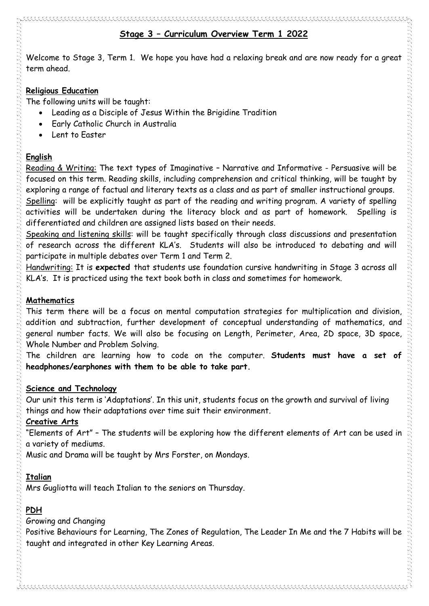## **Stage 3 – Curriculum Overview Term 1 2022**

Welcome to Stage 3, Term 1. We hope you have had a relaxing break and are now ready for a great term ahead.

#### **Religious Education**

The following units will be taught:

- Leading as a Disciple of Jesus Within the Brigidine Tradition
- Early Catholic Church in Australia
- Lent to Easter

### **English**

Reading & Writing: The text types of Imaginative – Narrative and Informative - Persuasive will be focused on this term. Reading skills, including comprehension and critical thinking, will be taught by exploring a range of factual and literary texts as a class and as part of smaller instructional groups. Spelling: will be explicitly taught as part of the reading and writing program. A variety of spelling activities will be undertaken during the literacy block and as part of homework. Spelling is differentiated and children are assigned lists based on their needs.

Speaking and listening skills: will be taught specifically through class discussions and presentation of research across the different KLA's. Students will also be introduced to debating and will participate in multiple debates over Term 1 and Term 2.

Handwriting: It is **expected** that students use foundation cursive handwriting in Stage 3 across all KLA's. It is practiced using the text book both in class and sometimes for homework.

#### **Mathematics**

This term there will be a focus on mental computation strategies for multiplication and division, addition and subtraction, further development of conceptual understanding of mathematics, and general number facts. We will also be focusing on Length, Perimeter, Area, 2D space, 3D space, Whole Number and Problem Solving.

The children are learning how to code on the computer. **Students must have a set of headphones/earphones with them to be able to take part.**

#### **Science and Technology**

Our unit this term is 'Adaptations'. In this unit, students focus on the growth and survival of living things and how their adaptations over time suit their environment.

#### **Creative Arts**

"Elements of Art" – The students will be exploring how the different elements of Art can be used in a variety of mediums.

Music and Drama will be taught by Mrs Forster, on Mondays.

# **Italian**

Mrs Gugliotta will teach Italian to the seniors on Thursday.

# **PDH**

Growing and Changing

Positive Behaviours for Learning, The Zones of Regulation, The Leader In Me and the 7 Habits will be taught and integrated in other Key Learning Areas.